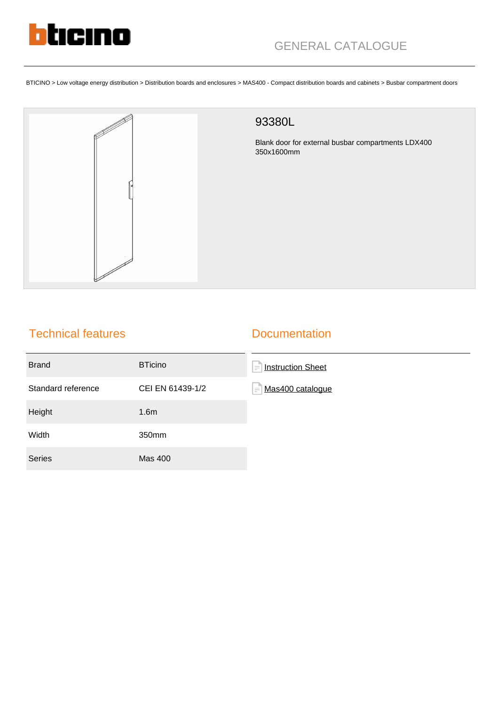

BTICINO > Low voltage energy distribution > Distribution boards and enclosures > MAS400 - Compact distribution boards and cabinets > Busbar compartment doors



## Technical features

## **Documentation**

| <b>Brand</b>       | <b>BTicino</b>   | E<br><b>Instruction Sheet</b> |
|--------------------|------------------|-------------------------------|
| Standard reference | CEI EN 61439-1/2 | F<br>Mas400 cataloque         |
| Height             | 1.6 <sub>m</sub> |                               |
| Width              | 350mm            |                               |
| <b>Series</b>      | <b>Mas 400</b>   |                               |